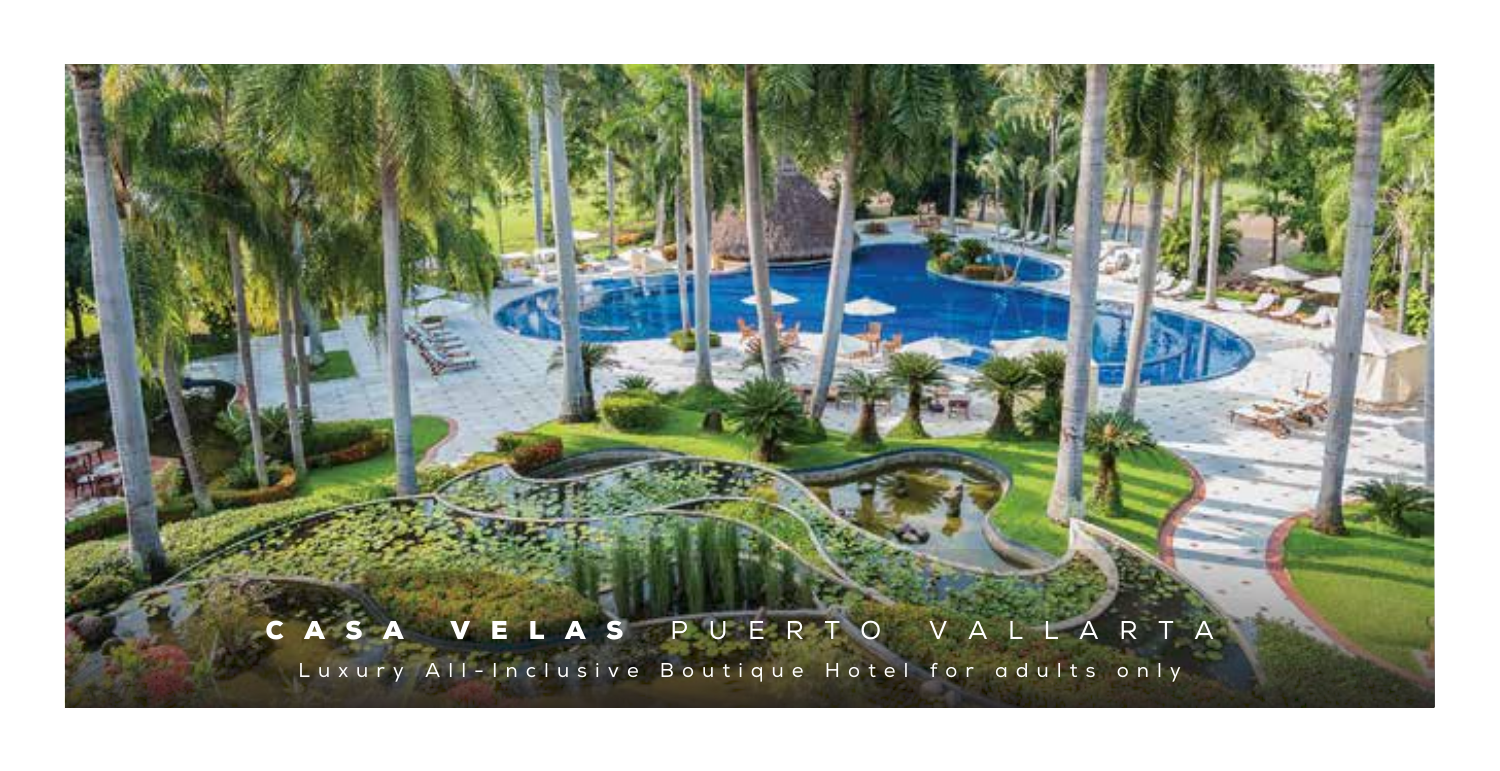## AS PUERTO VALLAR

Luxury All-Inclusive Boutique Hotel for adults only